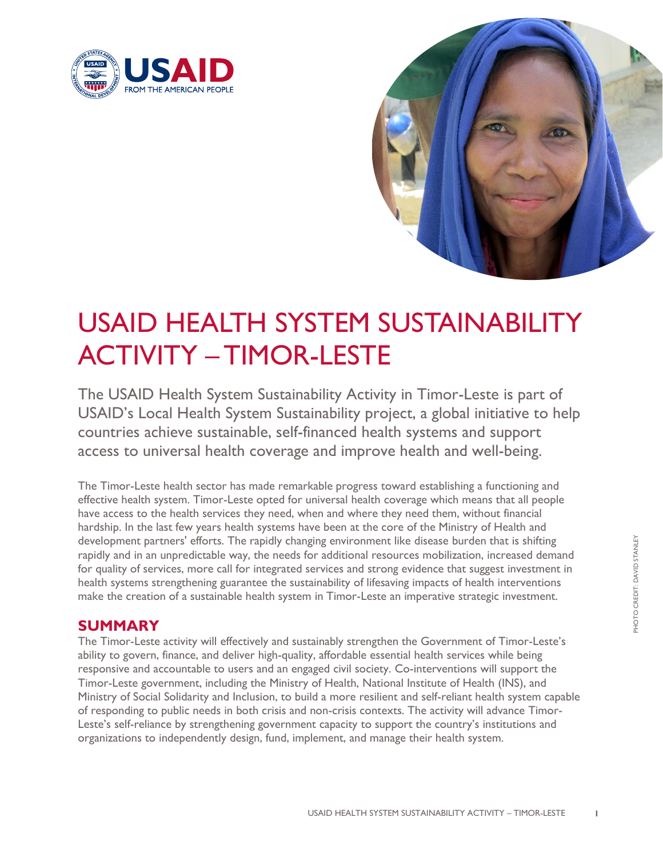



## USAID HEALTH SYSTEM SUSTAINABILITY ACTIVITY – TIMOR-LESTE

The USAID Health System Sustainability Activity in Timor-Leste is part of USAID's Local Health System Sustainability project, a global initiative to help countries achieve sustainable, self-financed health systems and support access to universal health coverage and improve health and well-being.

The Timor-Leste health sector has made remarkable progress toward establishing a functioning and effective health system. Timor-Leste opted for universal health coverage which means that all people have access to the health services they need, when and where they need them, without financial hardship. In the last few years health systems have been at the core of the Ministry of Health and development partners' efforts. The rapidly changing environment like disease burden that is shifting rapidly and in an unpredictable way, the needs for additional resources mobilization, increased demand for quality of services, more call for integrated services and strong evidence that suggest investment in health systems strengthening guarantee the sustainability of lifesaving impacts of health interventions make the creation of a sustainable health system in Timor-Leste an imperative strategic investment.

## **SUMMARY**

The Timor-Leste activity will effectively and sustainably strengthen the Government of Timor-Leste's ability to govern, finance, and deliver high-quality, affordable essential health services while being responsive and accountable to users and an engaged civil society. Co-interventions will support the Timor-Leste government, including the Ministry of Health, National Institute of Health (INS), and Ministry of Social Solidarity and Inclusion, to build a more resilient and self-reliant health system capable of responding to public needs in both crisis and non-crisis contexts. The activity will advance Timor-Leste's self-reliance by strengthening government capacity to support the country's institutions and organizations to independently design, fund, implement, and manage their health system.